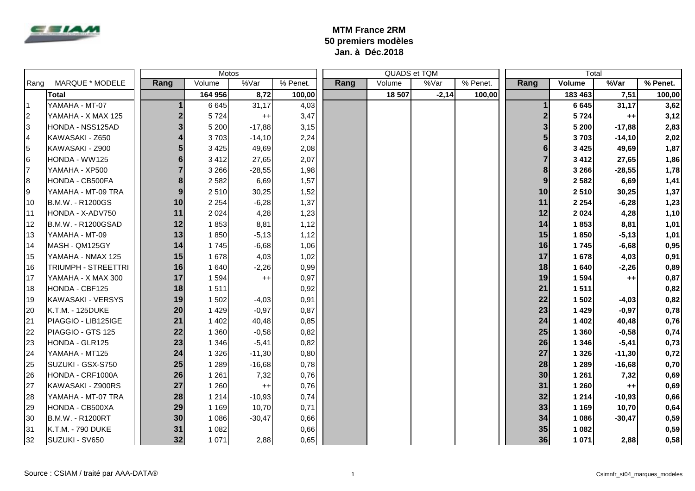

## **MTM France 2RM 50 premiers modèles Jan. à Déc.2018**

|      |                            | <b>Motos</b> |                           |          |          |      | QUADS et TQM |         |          | Total |         |          |          |
|------|----------------------------|--------------|---------------------------|----------|----------|------|--------------|---------|----------|-------|---------|----------|----------|
| Rang | MARQUE * MODELE            | Rang         | Volume                    | %Var     | % Penet. | Rang | Volume       | %Var    | % Penet. | Rang  | Volume  | %Var     | % Penet. |
|      | <b>Total</b>               |              | 164 956                   | 8,72     | 100,00   |      | 18 507       | $-2,14$ | 100,00   |       | 183 463 | 7,51     | 100,00   |
|      | YAMAHA - MT-07             |              | 6 6 4 5                   | 31,17    | 4,03     |      |              |         |          |       | 6 6 4 5 | 31,17    | 3,62     |
| 2    | YAMAHA - X MAX 125         |              | $\overline{2}$<br>5724    | $^{++}$  | 3,47     |      |              |         |          |       | 5724    | $^{++}$  | 3,12     |
| l3   | HONDA - NSS125AD           |              | 3<br>5 200                | $-17,88$ | 3,15     |      |              |         |          |       | 5 200   | $-17,88$ | 2,83     |
| 14   | KAWASAKI - Z650            |              | 4<br>3703                 | $-14,10$ | 2,24     |      |              |         |          |       | 3703    | $-14,10$ | 2,02     |
| 15   | KAWASAKI - Z900            |              | 5<br>3 4 2 5              | 49,69    | 2,08     |      |              |         |          |       | 3 4 2 5 | 49,69    | 1,87     |
| 16   | HONDA - WW125              |              | 6<br>3 4 1 2              | 27,65    | 2,07     |      |              |         |          |       | 3 4 1 2 | 27,65    | 1,86     |
| 7    | YAMAHA - XP500             |              | $\overline{7}$<br>3 2 6 6 | $-28,55$ | 1,98     |      |              |         |          |       | 3 2 6 6 | $-28,55$ | 1,78     |
| l8   | HONDA - CB500FA            |              | 8<br>2 5 8 2              | 6,69     | 1,57     |      |              |         |          | 9     | 2 5 8 2 | 6,69     | 1,41     |
| 19   | YAMAHA - MT-09 TRA         |              | 9<br>2510                 | 30,25    | 1,52     |      |              |         |          | 10    | 2510    | 30,25    | 1,37     |
| 10   | B.M.W. - R1200GS           | 10           | 2 2 5 4                   | $-6,28$  | 1,37     |      |              |         |          | 11    | 2 2 5 4 | $-6,28$  | 1,23     |
| 11   | HONDA - X-ADV750           | 11           | 2 0 2 4                   | 4,28     | 1,23     |      |              |         |          | 12    | 2 0 2 4 | 4,28     | 1,10     |
| 12   | B.M.W. - R1200GSAD         | 12           | 1853                      | 8,81     | 1,12     |      |              |         |          | 14    | 1853    | 8,81     | 1,01     |
| 13   | YAMAHA - MT-09             | 13           | 1850                      | $-5,13$  | 1,12     |      |              |         |          | 15    | 1850    | $-5,13$  | 1,01     |
| 14   | MASH - QM125GY             | 14           | 1745                      | $-6,68$  | 1,06     |      |              |         |          | 16    | 1745    | $-6,68$  | 0,95     |
| 15   | YAMAHA - NMAX 125          | 15           | 1 678                     | 4,03     | 1,02     |      |              |         |          | 17    | 1678    | 4,03     | 0,91     |
| 16   | <b>TRIUMPH - STREETTRI</b> | 16           | 1 640                     | $-2,26$  | 0,99     |      |              |         |          | 18    | 1640    | $-2,26$  | 0,89     |
| 17   | YAMAHA - X MAX 300         | 17           | 1 5 9 4                   | $^{++}$  | 0,97     |      |              |         |          | 19    | 1 5 9 4 | $^{++}$  | 0,87     |
| 18   | HONDA - CBF125             | 18           | 1511                      |          | 0,92     |      |              |         |          | 21    | 1511    |          | 0,82     |
| 19   | KAWASAKI - VERSYS          | 19           | 1 502                     | $-4,03$  | 0,91     |      |              |         |          | 22    | 1 502   | $-4,03$  | 0,82     |
| 20   | K.T.M. - 125DUKE           | 20           | 1 4 2 9                   | $-0,97$  | 0,87     |      |              |         |          | 23    | 1 4 2 9 | $-0,97$  | 0,78     |
| 21   | PIAGGIO - LIB125IGE        | 21           | 1 4 0 2                   | 40,48    | 0,85     |      |              |         |          | 24    | 1 4 0 2 | 40,48    | 0,76     |
| 22   | PIAGGIO - GTS 125          | 22           | 1 3 6 0                   | $-0,58$  | 0,82     |      |              |         |          | 25    | 1 3 6 0 | $-0,58$  | 0,74     |
| 23   | HONDA - GLR125             | 23           | 1 3 4 6                   | $-5,41$  | 0,82     |      |              |         |          | 26    | 1 3 4 6 | $-5,41$  | 0,73     |
| 24   | YAMAHA - MT125             | 24           | 1 3 2 6                   | $-11,30$ | 0,80     |      |              |         |          | 27    | 1 3 2 6 | $-11,30$ | 0,72     |
| 25   | SUZUKI - GSX-S750          | 25           | 1 2 8 9                   | $-16,68$ | 0,78     |      |              |         |          | 28    | 1 2 8 9 | $-16,68$ | 0,70     |
| 26   | HONDA - CRF1000A           | 26           | 1 2 6 1                   | 7,32     | 0,76     |      |              |         |          | 30    | 1 2 6 1 | 7,32     | 0,69     |
| 27   | KAWASAKI - Z900RS          | 27           | 1 2 6 0                   | $^{++}$  | 0,76     |      |              |         |          | 31    | 1 2 6 0 | $++$     | 0,69     |
| 28   | YAMAHA - MT-07 TRA         | 28           | 1 2 1 4                   | $-10,93$ | 0,74     |      |              |         |          | 32    | 1 2 1 4 | $-10,93$ | 0,66     |
| 29   | HONDA - CB500XA            | 29           | 1 1 6 9                   | 10,70    | 0,71     |      |              |         |          | 33    | 1 1 6 9 | 10,70    | 0,64     |
| 30   | B.M.W. - R1200RT           | 30           | 1 0 8 6                   | $-30,47$ | 0,66     |      |              |         |          | 34    | 1 0 8 6 | $-30,47$ | 0,59     |
| 31   | K.T.M. - 790 DUKE          | 31           | 1 0 8 2                   |          | 0,66     |      |              |         |          | 35    | 1 0 8 2 |          | 0,59     |
| 32   | SUZUKI - SV650             | 32           | 1 0 7 1                   | 2,88     | 0,65     |      |              |         |          | 36    | 1 0 7 1 | 2,88     | 0,58     |